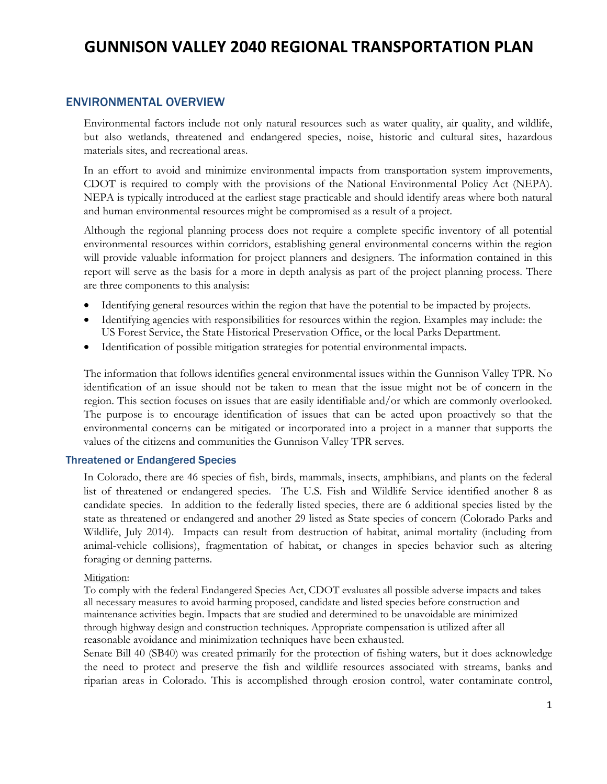### ENVIRONMENTAL OVERVIEW

Environmental factors include not only natural resources such as water quality, air quality, and wildlife, but also wetlands, threatened and endangered species, noise, historic and cultural sites, hazardous materials sites, and recreational areas.

In an effort to avoid and minimize environmental impacts from transportation system improvements, CDOT is required to comply with the provisions of the National Environmental Policy Act (NEPA). NEPA is typically introduced at the earliest stage practicable and should identify areas where both natural and human environmental resources might be compromised as a result of a project.

Although the regional planning process does not require a complete specific inventory of all potential environmental resources within corridors, establishing general environmental concerns within the region will provide valuable information for project planners and designers. The information contained in this report will serve as the basis for a more in depth analysis as part of the project planning process. There are three components to this analysis:

- Identifying general resources within the region that have the potential to be impacted by projects.
- Identifying agencies with responsibilities for resources within the region. Examples may include: the US Forest Service, the State Historical Preservation Office, or the local Parks Department.
- Identification of possible mitigation strategies for potential environmental impacts.

The information that follows identifies general environmental issues within the Gunnison Valley TPR. No identification of an issue should not be taken to mean that the issue might not be of concern in the region. This section focuses on issues that are easily identifiable and/or which are commonly overlooked. The purpose is to encourage identification of issues that can be acted upon proactively so that the environmental concerns can be mitigated or incorporated into a project in a manner that supports the values of the citizens and communities the Gunnison Valley TPR serves.

#### Threatened or Endangered Species

In Colorado, there are 46 species of fish, birds, mammals, insects, amphibians, and plants on the federal list of threatened or endangered species. The U.S. Fish and Wildlife Service identified another 8 as candidate species. In addition to the federally listed species, there are 6 additional species listed by the state as threatened or endangered and another 29 listed as State species of concern (Colorado Parks and Wildlife, July 2014). Impacts can result from destruction of habitat, animal mortality (including from animal-vehicle collisions), fragmentation of habitat, or changes in species behavior such as altering foraging or denning patterns.

#### Mitigation:

To comply with the federal Endangered Species Act, CDOT evaluates all possible adverse impacts and takes all necessary measures to avoid harming proposed, candidate and listed species before construction and maintenance activities begin. Impacts that are studied and determined to be unavoidable are minimized through highway design and construction techniques. Appropriate compensation is utilized after all reasonable avoidance and minimization techniques have been exhausted.

Senate Bill 40 (SB40) was created primarily for the protection of fishing waters, but it does acknowledge the need to protect and preserve the fish and wildlife resources associated with streams, banks and riparian areas in Colorado. This is accomplished through erosion control, water contaminate control,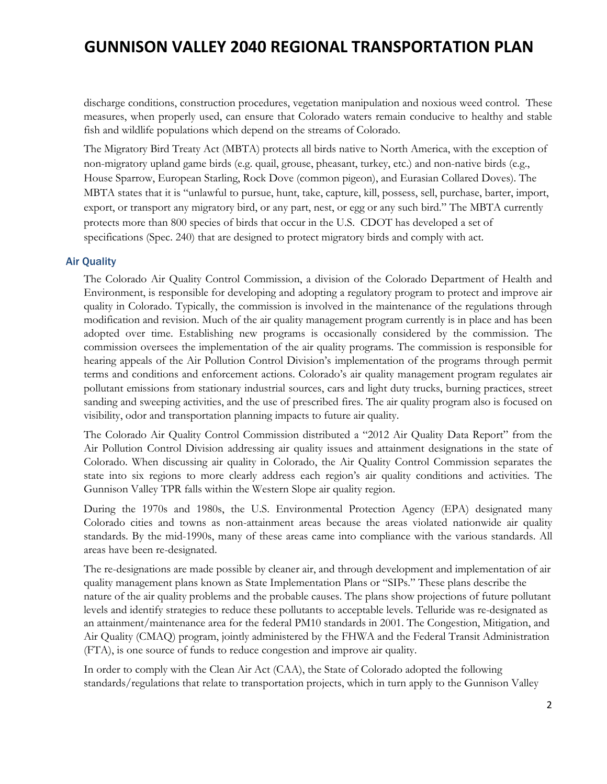discharge conditions, construction procedures, vegetation manipulation and noxious weed control. These measures, when properly used, can ensure that Colorado waters remain conducive to healthy and stable fish and wildlife populations which depend on the streams of Colorado.

The Migratory Bird Treaty Act (MBTA) protects all birds native to North America, with the exception of non-migratory upland game birds (e.g. quail, grouse, pheasant, turkey, etc.) and non-native birds (e.g., House Sparrow, European Starling, Rock Dove (common pigeon), and Eurasian Collared Doves). The MBTA states that it is "unlawful to pursue, hunt, take, capture, kill, possess, sell, purchase, barter, import, export, or transport any migratory bird, or any part, nest, or egg or any such bird." The MBTA currently protects more than 800 species of birds that occur in the U.S. CDOT has developed a set of specifications (Spec. 240) that are designed to protect migratory birds and comply with act.

### Air Quality

The Colorado Air Quality Control Commission, a division of the Colorado Department of Health and Environment, is responsible for developing and adopting a regulatory program to protect and improve air quality in Colorado. Typically, the commission is involved in the maintenance of the regulations through modification and revision. Much of the air quality management program currently is in place and has been adopted over time. Establishing new programs is occasionally considered by the commission. The commission oversees the implementation of the air quality programs. The commission is responsible for hearing appeals of the Air Pollution Control Division's implementation of the programs through permit terms and conditions and enforcement actions. Colorado's air quality management program regulates air pollutant emissions from stationary industrial sources, cars and light duty trucks, burning practices, street sanding and sweeping activities, and the use of prescribed fires. The air quality program also is focused on visibility, odor and transportation planning impacts to future air quality.

The Colorado Air Quality Control Commission distributed a "2012 Air Quality Data Report" from the Air Pollution Control Division addressing air quality issues and attainment designations in the state of Colorado. When discussing air quality in Colorado, the Air Quality Control Commission separates the state into six regions to more clearly address each region's air quality conditions and activities. The Gunnison Valley TPR falls within the Western Slope air quality region.

During the 1970s and 1980s, the U.S. Environmental Protection Agency (EPA) designated many Colorado cities and towns as non-attainment areas because the areas violated nationwide air quality standards. By the mid-1990s, many of these areas came into compliance with the various standards. All areas have been re-designated.

The re-designations are made possible by cleaner air, and through development and implementation of air quality management plans known as State Implementation Plans or "SIPs." These plans describe the nature of the air quality problems and the probable causes. The plans show projections of future pollutant levels and identify strategies to reduce these pollutants to acceptable levels. Telluride was re-designated as an attainment/maintenance area for the federal PM10 standards in 2001. The Congestion, Mitigation, and Air Quality (CMAQ) program, jointly administered by the FHWA and the Federal Transit Administration (FTA), is one source of funds to reduce congestion and improve air quality.

In order to comply with the Clean Air Act (CAA), the State of Colorado adopted the following standards/regulations that relate to transportation projects, which in turn apply to the Gunnison Valley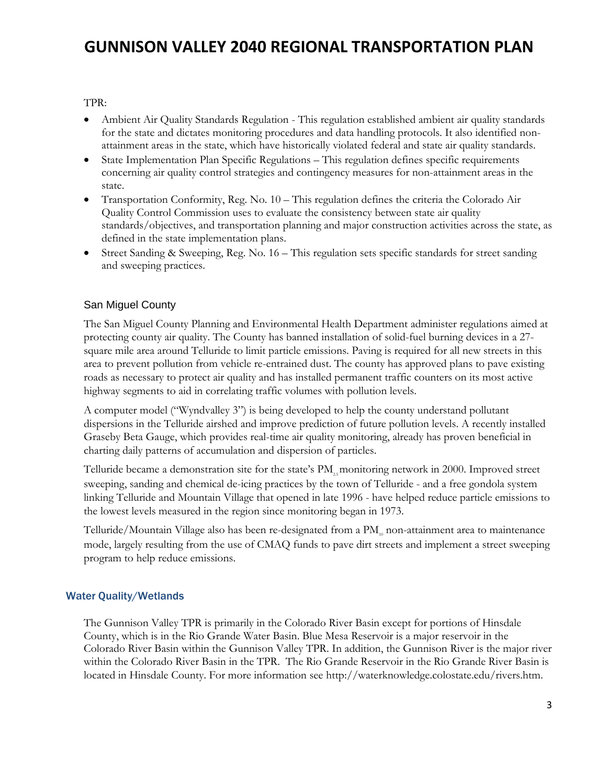TPR:

- Ambient Air Quality Standards Regulation This regulation established ambient air quality standards for the state and dictates monitoring procedures and data handling protocols. It also identified nonattainment areas in the state, which have historically violated federal and state air quality standards.
- State Implementation Plan Specific Regulations This regulation defines specific requirements concerning air quality control strategies and contingency measures for non-attainment areas in the state.
- Transportation Conformity, Reg. No. 10 This regulation defines the criteria the Colorado Air Quality Control Commission uses to evaluate the consistency between state air quality standards/objectives, and transportation planning and major construction activities across the state, as defined in the state implementation plans.
- Street Sanding & Sweeping, Reg. No. 16 This regulation sets specific standards for street sanding and sweeping practices.

### San Miguel County

The San Miguel County Planning and Environmental Health Department administer regulations aimed at protecting county air quality. The County has banned installation of solid-fuel burning devices in a 27 square mile area around Telluride to limit particle emissions. Paving is required for all new streets in this area to prevent pollution from vehicle re-entrained dust. The county has approved plans to pave existing roads as necessary to protect air quality and has installed permanent traffic counters on its most active highway segments to aid in correlating traffic volumes with pollution levels.

A computer model ("Wyndvalley 3") is being developed to help the county understand pollutant dispersions in the Telluride airshed and improve prediction of future pollution levels. A recently installed Graseby Beta Gauge, which provides real-time air quality monitoring, already has proven beneficial in charting daily patterns of accumulation and dispersion of particles.

Telluride became a demonstration site for the state's  $PM_{\alpha}$  monitoring network in 2000. Improved street sweeping, sanding and chemical de-icing practices by the town of Telluride - and a free gondola system linking Telluride and Mountain Village that opened in late 1996 - have helped reduce particle emissions to the lowest levels measured in the region since monitoring began in 1973.

Telluride/Mountain Village also has been re-designated from a  $\text{PM}_{\alpha}$  non-attainment area to maintenance mode, largely resulting from the use of CMAQ funds to pave dirt streets and implement a street sweeping program to help reduce emissions.

### Water Quality/Wetlands

The Gunnison Valley TPR is primarily in the Colorado River Basin except for portions of Hinsdale County, which is in the Rio Grande Water Basin. Blue Mesa Reservoir is a major reservoir in the Colorado River Basin within the Gunnison Valley TPR. In addition, the Gunnison River is the major river within the Colorado River Basin in the TPR. The Rio Grande Reservoir in the Rio Grande River Basin is located in Hinsdale County. For more information see http://waterknowledge.colostate.edu/rivers.htm.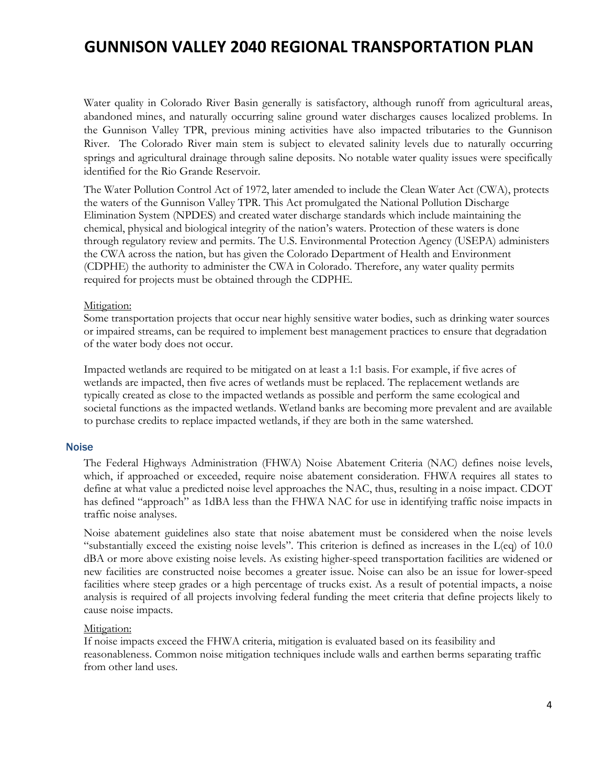Water quality in Colorado River Basin generally is satisfactory, although runoff from agricultural areas, abandoned mines, and naturally occurring saline ground water discharges causes localized problems. In the Gunnison Valley TPR, previous mining activities have also impacted tributaries to the Gunnison River. The Colorado River main stem is subject to elevated salinity levels due to naturally occurring springs and agricultural drainage through saline deposits. No notable water quality issues were specifically identified for the Rio Grande Reservoir.

The Water Pollution Control Act of 1972, later amended to include the Clean Water Act (CWA), protects the waters of the Gunnison Valley TPR. This Act promulgated the National Pollution Discharge Elimination System (NPDES) and created water discharge standards which include maintaining the chemical, physical and biological integrity of the nation's waters. Protection of these waters is done through regulatory review and permits. The U.S. Environmental Protection Agency (USEPA) administers the CWA across the nation, but has given the Colorado Department of Health and Environment (CDPHE) the authority to administer the CWA in Colorado. Therefore, any water quality permits required for projects must be obtained through the CDPHE.

#### Mitigation:

Some transportation projects that occur near highly sensitive water bodies, such as drinking water sources or impaired streams, can be required to implement best management practices to ensure that degradation of the water body does not occur.

Impacted wetlands are required to be mitigated on at least a 1:1 basis. For example, if five acres of wetlands are impacted, then five acres of wetlands must be replaced. The replacement wetlands are typically created as close to the impacted wetlands as possible and perform the same ecological and societal functions as the impacted wetlands. Wetland banks are becoming more prevalent and are available to purchase credits to replace impacted wetlands, if they are both in the same watershed.

#### **Noise**

The Federal Highways Administration (FHWA) Noise Abatement Criteria (NAC) defines noise levels, which, if approached or exceeded, require noise abatement consideration. FHWA requires all states to define at what value a predicted noise level approaches the NAC, thus, resulting in a noise impact. CDOT has defined "approach" as 1dBA less than the FHWA NAC for use in identifying traffic noise impacts in traffic noise analyses.

Noise abatement guidelines also state that noise abatement must be considered when the noise levels "substantially exceed the existing noise levels". This criterion is defined as increases in the L(eq) of 10.0 dBA or more above existing noise levels. As existing higher-speed transportation facilities are widened or new facilities are constructed noise becomes a greater issue. Noise can also be an issue for lower-speed facilities where steep grades or a high percentage of trucks exist. As a result of potential impacts, a noise analysis is required of all projects involving federal funding the meet criteria that define projects likely to cause noise impacts.

#### Mitigation:

If noise impacts exceed the FHWA criteria, mitigation is evaluated based on its feasibility and reasonableness. Common noise mitigation techniques include walls and earthen berms separating traffic from other land uses.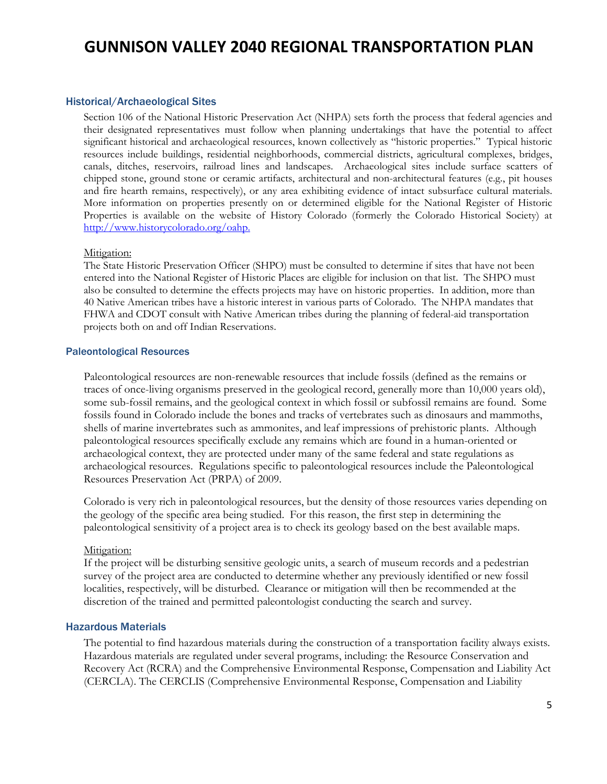#### Historical/Archaeological Sites

Section 106 of the National Historic Preservation Act (NHPA) sets forth the process that federal agencies and their designated representatives must follow when planning undertakings that have the potential to affect significant historical and archaeological resources, known collectively as "historic properties." Typical historic resources include buildings, residential neighborhoods, commercial districts, agricultural complexes, bridges, canals, ditches, reservoirs, railroad lines and landscapes. Archaeological sites include surface scatters of chipped stone, ground stone or ceramic artifacts, architectural and non-architectural features (e.g., pit houses and fire hearth remains, respectively), or any area exhibiting evidence of intact subsurface cultural materials. More information on properties presently on or determined eligible for the National Register of Historic Properties is available on the website of History Colorado (formerly the Colorado Historical Society) at http://www.historycolorado.org/oahp.

#### Mitigation:

The State Historic Preservation Officer (SHPO) must be consulted to determine if sites that have not been entered into the National Register of Historic Places are eligible for inclusion on that list. The SHPO must also be consulted to determine the effects projects may have on historic properties. In addition, more than 40 Native American tribes have a historic interest in various parts of Colorado. The NHPA mandates that FHWA and CDOT consult with Native American tribes during the planning of federal-aid transportation projects both on and off Indian Reservations.

#### Paleontological Resources

Paleontological resources are non-renewable resources that include fossils (defined as the remains or traces of once-living organisms preserved in the geological record, generally more than 10,000 years old), some sub-fossil remains, and the geological context in which fossil or subfossil remains are found. Some fossils found in Colorado include the bones and tracks of vertebrates such as dinosaurs and mammoths, shells of marine invertebrates such as ammonites, and leaf impressions of prehistoric plants. Although paleontological resources specifically exclude any remains which are found in a human-oriented or archaeological context, they are protected under many of the same federal and state regulations as archaeological resources. Regulations specific to paleontological resources include the Paleontological Resources Preservation Act (PRPA) of 2009.

Colorado is very rich in paleontological resources, but the density of those resources varies depending on the geology of the specific area being studied. For this reason, the first step in determining the paleontological sensitivity of a project area is to check its geology based on the best available maps.

#### Mitigation:

If the project will be disturbing sensitive geologic units, a search of museum records and a pedestrian survey of the project area are conducted to determine whether any previously identified or new fossil localities, respectively, will be disturbed. Clearance or mitigation will then be recommended at the discretion of the trained and permitted paleontologist conducting the search and survey.

#### Hazardous Materials

The potential to find hazardous materials during the construction of a transportation facility always exists. Hazardous materials are regulated under several programs, including: the Resource Conservation and Recovery Act (RCRA) and the Comprehensive Environmental Response, Compensation and Liability Act (CERCLA). The CERCLIS (Comprehensive Environmental Response, Compensation and Liability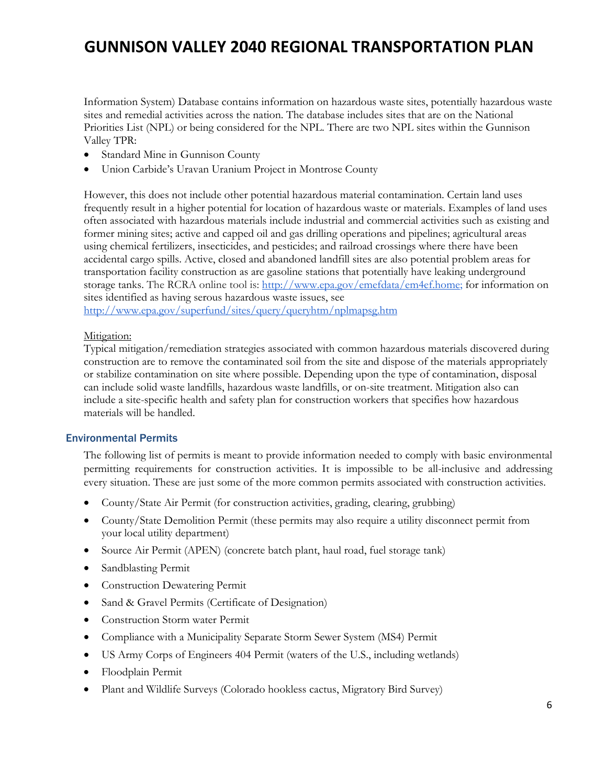Information System) Database contains information on hazardous waste sites, potentially hazardous waste sites and remedial activities across the nation. The database includes sites that are on the National Priorities List (NPL) or being considered for the NPL. There are two NPL sites within the Gunnison Valley TPR:

- Standard Mine in Gunnison County
- Union Carbide's Uravan Uranium Project in Montrose County

However, this does not include other potential hazardous material contamination. Certain land uses frequently result in a higher potential for location of hazardous waste or materials. Examples of land uses often associated with hazardous materials include industrial and commercial activities such as existing and former mining sites; active and capped oil and gas drilling operations and pipelines; agricultural areas using chemical fertilizers, insecticides, and pesticides; and railroad crossings where there have been accidental cargo spills. Active, closed and abandoned landfill sites are also potential problem areas for transportation facility construction as are gasoline stations that potentially have leaking underground storage tanks. The RCRA online tool is: http://www.epa.gov/emefdata/em4ef.home; for information on sites identified as having serous hazardous waste issues, see http://www.epa.gov/superfund/sites/query/queryhtm/nplmapsg.htm

#### Mitigation:

Typical mitigation/remediation strategies associated with common hazardous materials discovered during construction are to remove the contaminated soil from the site and dispose of the materials appropriately or stabilize contamination on site where possible. Depending upon the type of contamination, disposal can include solid waste landfills, hazardous waste landfills, or on-site treatment. Mitigation also can include a site-specific health and safety plan for construction workers that specifies how hazardous materials will be handled.

#### Environmental Permits

The following list of permits is meant to provide information needed to comply with basic environmental permitting requirements for construction activities. It is impossible to be all-inclusive and addressing every situation. These are just some of the more common permits associated with construction activities.

- County/State Air Permit (for construction activities, grading, clearing, grubbing)
- County/State Demolition Permit (these permits may also require a utility disconnect permit from your local utility department)
- Source Air Permit (APEN) (concrete batch plant, haul road, fuel storage tank)
- Sandblasting Permit
- Construction Dewatering Permit
- Sand & Gravel Permits (Certificate of Designation)
- Construction Storm water Permit
- Compliance with a Municipality Separate Storm Sewer System (MS4) Permit
- US Army Corps of Engineers 404 Permit (waters of the U.S., including wetlands)
- Floodplain Permit
- Plant and Wildlife Surveys (Colorado hookless cactus, Migratory Bird Survey)